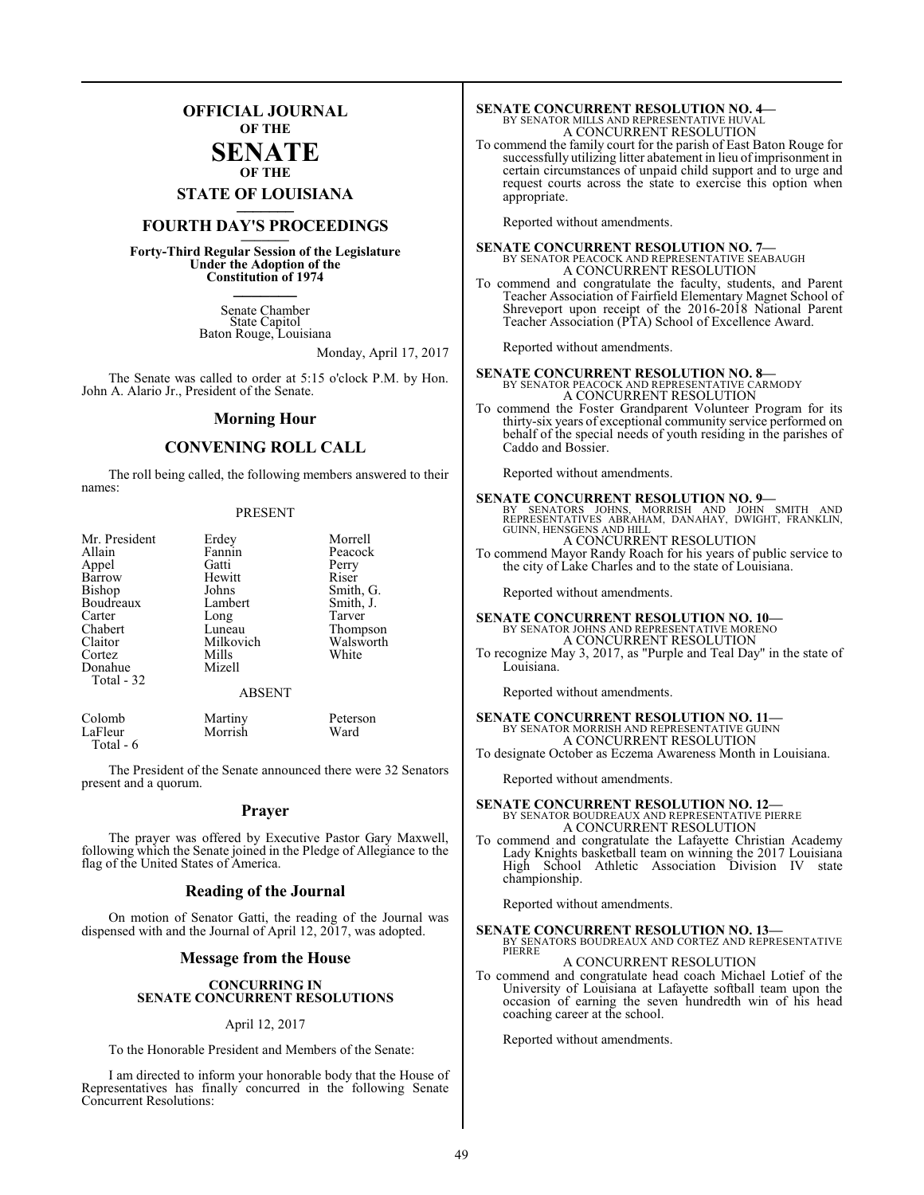### **OFFICIAL JOURNAL OF THE**

#### **SENATE OF THE**

**STATE OF LOUISIANA \_\_\_\_\_\_\_**

## **FOURTH DAY'S PROCEEDINGS \_\_\_\_\_\_\_**

**Forty-Third Regular Session of the Legislature Under the Adoption of the Constitution of 1974 \_\_\_\_\_\_\_**

> Senate Chamber State Capitol Baton Rouge, Louisiana

> > Monday, April 17, 2017

The Senate was called to order at 5:15 o'clock P.M. by Hon. John A. Alario Jr., President of the Senate.

#### **Morning Hour**

#### **CONVENING ROLL CALL**

The roll being called, the following members answered to their names:

#### PRESENT

| Mr. President<br>Allain<br>Appel<br>Barrow<br>Bishop<br>Boudreaux<br>Carter<br>Chabert<br>Claitor<br>Cortez<br>Donahue<br>Total - 32 | Erdey<br>Fannin<br>Gatti<br>Hewitt<br>Johns<br>Lambert<br>Long<br>Luneau<br>Milkovich<br>Mills<br>Mizell<br><b>ABSENT</b> | Morrell<br>Peacock<br>Perry<br>Riser<br>Smith, G.<br>Smith, J.<br>Tarver<br>Thompson<br>Walsworth<br>White |
|--------------------------------------------------------------------------------------------------------------------------------------|---------------------------------------------------------------------------------------------------------------------------|------------------------------------------------------------------------------------------------------------|
|                                                                                                                                      |                                                                                                                           |                                                                                                            |
|                                                                                                                                      |                                                                                                                           |                                                                                                            |

Colomb Martiny Peterson<br>
LaFleur Morrish Ward Morrish Total - 6

The President of the Senate announced there were 32 Senators present and a quorum.

#### **Prayer**

The prayer was offered by Executive Pastor Gary Maxwell, following which the Senate joined in the Pledge of Allegiance to the flag of the United States of America.

#### **Reading of the Journal**

On motion of Senator Gatti, the reading of the Journal was dispensed with and the Journal of April 12, 2017, was adopted.

#### **Message from the House**

#### **CONCURRING IN SENATE CONCURRENT RESOLUTIONS**

#### April 12, 2017

To the Honorable President and Members of the Senate:

I am directed to inform your honorable body that the House of Representatives has finally concurred in the following Senate Concurrent Resolutions:

# **SENATE CONCURRENT RESOLUTION NO. 4—**<br>BY SENATOR MILLS AND REPRESENTATIVE HUVAL<br>A CONCURRENT RESOLUTION

To commend the family court for the parish of East Baton Rouge for successfully utilizing litter abatement in lieu of imprisonment in certain circumstances of unpaid child support and to urge and request courts across the state to exercise this option when appropriate.

Reported without amendments.

**SENATE CONCURRENT RESOLUTION NO. 7—**<br>BY SENATOR PEACOCK AND REPRESENTATIVE SEABAUGH A CONCURRENT RESOLUTION

To commend and congratulate the faculty, students, and Parent Teacher Association of Fairfield Elementary Magnet School of Shreveport upon receipt of the 2016-2018 National Parent Teacher Association (PTA) School of Excellence Award.

Reported without amendments.

**SENATE CONCURRENT RESOLUTION NO. 8—**<br>BY SENATOR PEACOCK AND REPRESENTATIVE CARMODY<br>A CONCURRENT RESOLUTION

To commend the Foster Grandparent Volunteer Program for its thirty-six years of exceptional community service performed on behalf of the special needs of youth residing in the parishes of Caddo and Bossier.

Reported without amendments.

**SENATE CONCURRENT RESOLUTION NO. 9**<br>
BY SENATORS JOHNS, MORRISH AND JOHN SMITH AND<br>
REPRESENTATIVES ABRAHAM, DANAHAY, DWIGHT, FRANKLIN,<br>GUINN, HENSGENS AND HILL A CONCURRENT RESOLUTION

To commend Mayor Randy Roach for his years of public service to the city of Lake Charles and to the state of Louisiana.

Reported without amendments.

**SENATE CONCURRENT RESOLUTION NO. 10—**<br>BY SENATOR JOHNS AND REPRESENTATIVE MORENO<br>A CONCURRENT RESOLUTION

To recognize May 3, 2017, as "Purple and Teal Day" in the state of Louisiana.

Reported without amendments.

### **SENATE CONCURRENT RESOLUTION NO. 11—** BY SENATOR MORRISH AND REPRESENTATIVE GUINN A CONCURRENT RESOLUTION

To designate October as Eczema Awareness Month in Louisiana.

Reported without amendments.

### **SENATE CONCURRENT RESOLUTION NO. 12—** BY SENATOR BOUDREAUX AND REPRESENTATIVE PIERRE A CONCURRENT RESOLUTION

To commend and congratulate the Lafayette Christian Academy Lady Knights basketball team on winning the 2017 Louisiana High School Athletic Association Division IV state championship.

Reported without amendments.

#### **SENATE CONCURRENT RESOLUTION NO. 13—** BY SENATORS BOUDREAUX AND CORTEZ AND REPRESENTATIVE PIERRE

### A CONCURRENT RESOLUTION

To commend and congratulate head coach Michael Lotief of the University of Louisiana at Lafayette softball team upon the occasion of earning the seven hundredth win of his head coaching career at the school.

Reported without amendments.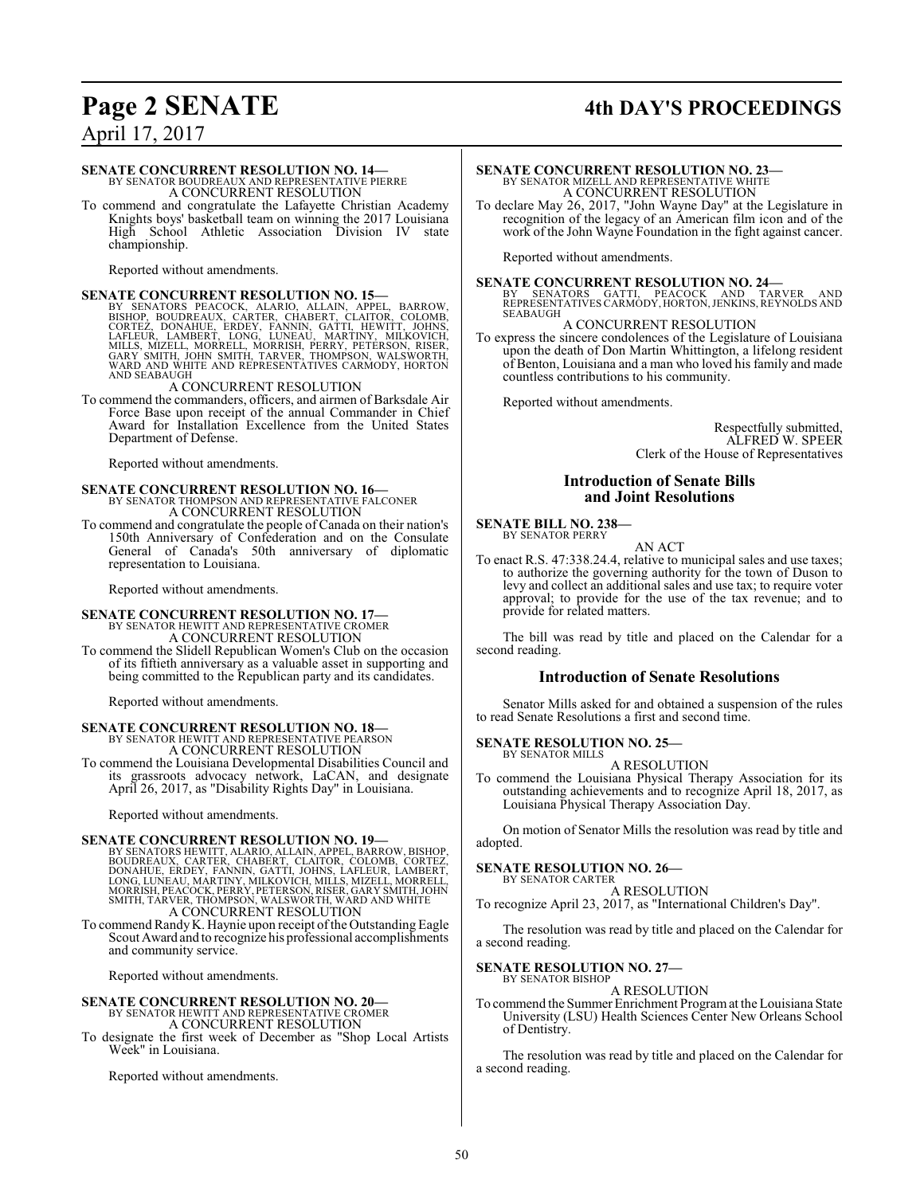# **Page 2 SENATE 4th DAY'S PROCEEDINGS**

April 17, 2017

## **SENATE CONCURRENT RESOLUTION NO. 14—**

BY SENATOR BOUDREAUX AND REPRESENTATIVE PIERRE A CONCURRENT RESOLUTION

To commend and congratulate the Lafayette Christian Academy Knights boys' basketball team on winning the 2017 Louisiana High School Athletic Association Division IV state championship.

Reported without amendments.

SENATE CONCURRENT RESOLUTION NO. 15<br>BY SENATORS PEACOCK, ALARIO, ALLAIN, APPEL, BARROW,<br>BISHOP, BOUDREAUX, CARTER, CHABERT, CLAITOR, COLOMB,<br>CORTEZ, DONAHUE, ERDEY, FANNIN, GATTI, HEWITT, JOHNS,<br>LAFLEUR, LAMBERT, LONG, LUN

A CONCURRENT RESOLUTION

To commend the commanders, officers, and airmen of Barksdale Air Force Base upon receipt of the annual Commander in Chief Award for Installation Excellence from the United States Department of Defense.

Reported without amendments.

# **SENATE CONCURRENT RESOLUTION NO. 16—**<br>BY SENATOR THOMPSON AND REPRESENTATIVE FALCONER<br>A CONCURRENT RESOLUTION

To commend and congratulate the people of Canada on their nation's 150th Anniversary of Confederation and on the Consulate General of Canada's 50th anniversary of diplomatic representation to Louisiana.

Reported without amendments.

### **SENATE CONCURRENT RESOLUTION NO. 17—** BY SENATOR HEWITT AND REPRESENTATIVE CROMER A CONCURRENT RESOLUTION

To commend the Slidell Republican Women's Club on the occasion of its fiftieth anniversary as a valuable asset in supporting and being committed to the Republican party and its candidates.

Reported without amendments.

## **SENATE CONCURRENT RESOLUTION NO. 18—**

BY SENATOR HEWITT AND REPRESENTATIVE PEARSON A CONCURRENT RESOLUTION To commend the Louisiana Developmental Disabilities Council and its grassroots advocacy network, LaCAN, and designate April 26, 2017, as "Disability Rights Day" in Louisiana.

Reported without amendments.

#### **SENATE CONCURRENT RESOLUTION NO. 19—**

BY SENATORS HEWITT, ALARIO, ALLAIN, APPEL, BARROW, BISHOP,<br>BOUDREAUX, CARTER, CHABERT, CLAITOR, COLOMB, CORTEZ,<br>DONAHUE, ERDEY, FANNIN, GATTI, JOHNS, LAFLEUR, LAMBERT,<br>LONG, LUNEAU, MARTINY, MILKOVICH, MILLS, MIZELL, MORRE

To commend RandyK. Haynie upon receipt ofthe Outstanding Eagle Scout Award and to recognize his professional accomplishments and community service.

Reported without amendments.

## **SENATE CONCURRENT RESOLUTION NO. 20—** BY SENATOR HEWITT AND REPRESENTATIVE CROMER A CONCURRENT RESOLUTION

To designate the first week of December as "Shop Local Artists Week" in Louisiana.

Reported without amendments.

## **SENATE CONCURRENT RESOLUTION NO. 23—** BY SENATOR MIZELL AND REPRESENTATIVE WHITE A CONCURRENT RESOLUTION

To declare May 26, 2017, "John Wayne Day" at the Legislature in recognition of the legacy of an American film icon and of the work of the John Wayne Foundation in the fight against cancer.

Reported without amendments.

**SENATE CONCURRENT RESOLUTION NO. 24—**<br>BY SENATORS GATTI, PEACOCK AND TARVER AND<br>REPRESENTATIVES CARMODY, HORTON, JENKINS, REYNOLDS AND **SEABAUGH** 

#### A CONCURRENT RESOLUTION

To express the sincere condolences of the Legislature of Louisiana upon the death of Don Martin Whittington, a lifelong resident of Benton, Louisiana and a man who loved his family and made countless contributions to his community.

Reported without amendments.

Respectfully submitted, ALFRED W. SPEER Clerk of the House of Representatives

#### **Introduction of Senate Bills and Joint Resolutions**

#### **SENATE BILL NO. 238—** BY SENATOR PERRY

AN ACT

To enact R.S. 47:338.24.4, relative to municipal sales and use taxes; to authorize the governing authority for the town of Duson to levy and collect an additional sales and use tax; to require voter approval; to provide for the use of the tax revenue; and to provide for related matters.

The bill was read by title and placed on the Calendar for a second reading.

#### **Introduction of Senate Resolutions**

Senator Mills asked for and obtained a suspension of the rules to read Senate Resolutions a first and second time.

#### **SENATE RESOLUTION NO. 25—**

BY SENATOR MILLS A RESOLUTION

To commend the Louisiana Physical Therapy Association for its outstanding achievements and to recognize April 18, 2017, as Louisiana Physical Therapy Association Day.

On motion of Senator Mills the resolution was read by title and adopted.

#### **SENATE RESOLUTION NO. 26—**

BY SENATOR CARTER A RESOLUTION

To recognize April 23, 2017, as "International Children's Day".

The resolution was read by title and placed on the Calendar for a second reading.

#### **SENATE RESOLUTION NO. 27—** BY SENATOR BISHOP

A RESOLUTION

To commend the Summer Enrichment Programat the Louisiana State University (LSU) Health Sciences Center New Orleans School of Dentistry.

The resolution was read by title and placed on the Calendar for a second reading.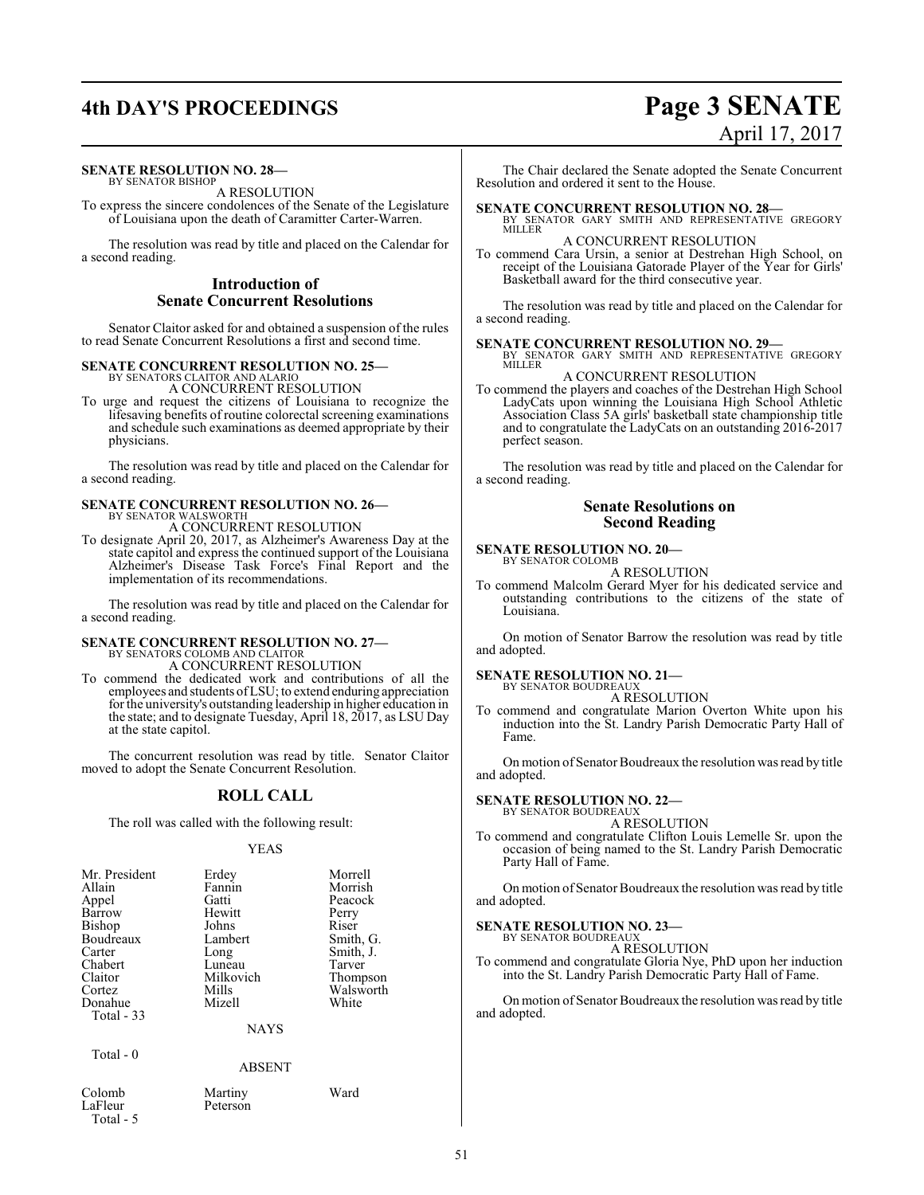# **4th DAY'S PROCEEDINGS Page 3 SENATE**

#### **SENATE RESOLUTION NO. 28—**

BY SENATOR BISHOP A RESOLUTION

To express the sincere condolences of the Senate of the Legislature of Louisiana upon the death of Caramitter Carter-Warren.

The resolution was read by title and placed on the Calendar for a second reading.

#### **Introduction of Senate Concurrent Resolutions**

Senator Claitor asked for and obtained a suspension of the rules to read Senate Concurrent Resolutions a first and second time.

#### **SENATE CONCURRENT RESOLUTION NO. 25—** BY SENATORS CLAITOR AND ALARIO

A CONCURRENT RESOLUTION

To urge and request the citizens of Louisiana to recognize the lifesaving benefits of routine colorectal screening examinations and schedule such examinations as deemed appropriate by their physicians.

The resolution was read by title and placed on the Calendar for a second reading.

## **SENATE CONCURRENT RESOLUTION NO. 26—** BY SENATOR WALSWORTH A CONCURRENT RESOLUTION

To designate April 20, 2017, as Alzheimer's Awareness Day at the state capitol and express the continued support of the Louisiana Alzheimer's Disease Task Force's Final Report and the implementation of its recommendations.

The resolution was read by title and placed on the Calendar for a second reading.

# **SENATE CONCURRENT RESOLUTION NO. 27—** BY SENATORS COLOMB AND CLAITOR

A CONCURRENT RESOLUTION

To commend the dedicated work and contributions of all the employees and students ofLSU; to extend enduring appreciation for the university's outstanding leadership in higher education in the state; and to designate Tuesday, April 18, 2017, as LSU Day at the state capitol.

The concurrent resolution was read by title. Senator Claitor moved to adopt the Senate Concurrent Resolution.

#### **ROLL CALL**

The roll was called with the following result:

#### YEAS

| Mr. President | Erdey       | Morrell   |
|---------------|-------------|-----------|
| Allain        | Fannin      | Morrish   |
| Appel         | Gatti       | Peacock   |
| Barrow        | Hewitt      | Perry     |
| Bishop        | Johns       | Riser     |
| Boudreaux     | Lambert     | Smith, G. |
| Carter        | Long        | Smith, J. |
| Chabert       | Luneau      | Tarver    |
| Claitor       | Milkovich   | Thompson  |
| Cortez        | Mills       | Walsworth |
| Donahue       | Mizell      | White     |
| Total - 33    |             |           |
|               | <b>NAYS</b> |           |
|               |             |           |

#### Total - 0

ABSENT

Colomb Martiny Ward Total - 5

Peterson

# April 17, 2017

The Chair declared the Senate adopted the Senate Concurrent Resolution and ordered it sent to the House.

**SENATE CONCURRENT RESOLUTION NO. 28—**<br>BY SENATOR GARY SMITH AND REPRESENTATIVE GREGORY<br>MILLER A CONCURRENT RESOLUTION

To commend Cara Ursin, a senior at Destrehan High School, on receipt of the Louisiana Gatorade Player of the Year for Girls' Basketball award for the third consecutive year.

The resolution was read by title and placed on the Calendar for a second reading.

# **SENATE CONCURRENT RESOLUTION NO. 29—**<br>BY SENATOR GARY SMITH AND REPRESENTATIVE GREGORY

MILLER A CONCURRENT RESOLUTION

To commend the players and coaches of the Destrehan High School LadyCats upon winning the Louisiana High School Athletic Association Class 5A girls' basketball state championship title and to congratulate the LadyCats on an outstanding 2016-2017 perfect season.

The resolution was read by title and placed on the Calendar for a second reading.

#### **Senate Resolutions on Second Reading**

#### **SENATE RESOLUTION NO. 20—** BY SENATOR COLOMB

A RESOLUTION

To commend Malcolm Gerard Myer for his dedicated service and outstanding contributions to the citizens of the state of Louisiana.

On motion of Senator Barrow the resolution was read by title and adopted.

#### **SENATE RESOLUTION NO. 21—**

BY SENATOR BOUDREAUX A RESOLUTION

To commend and congratulate Marion Overton White upon his induction into the St. Landry Parish Democratic Party Hall of Fame.

On motion of Senator Boudreaux the resolution was read by title and adopted.

#### **SENATE RESOLUTION NO. 22—** BY SENATOR BOUDREAUX

A RESOLUTION

To commend and congratulate Clifton Louis Lemelle Sr. upon the occasion of being named to the St. Landry Parish Democratic Party Hall of Fame.

On motion of Senator Boudreaux the resolution was read by title and adopted.

#### **SENATE RESOLUTION NO. 23—** BY SENATOR BOUDREAUX

A RESOLUTION

To commend and congratulate Gloria Nye, PhD upon her induction into the St. Landry Parish Democratic Party Hall of Fame.

On motion of Senator Boudreaux the resolution was read by title and adopted.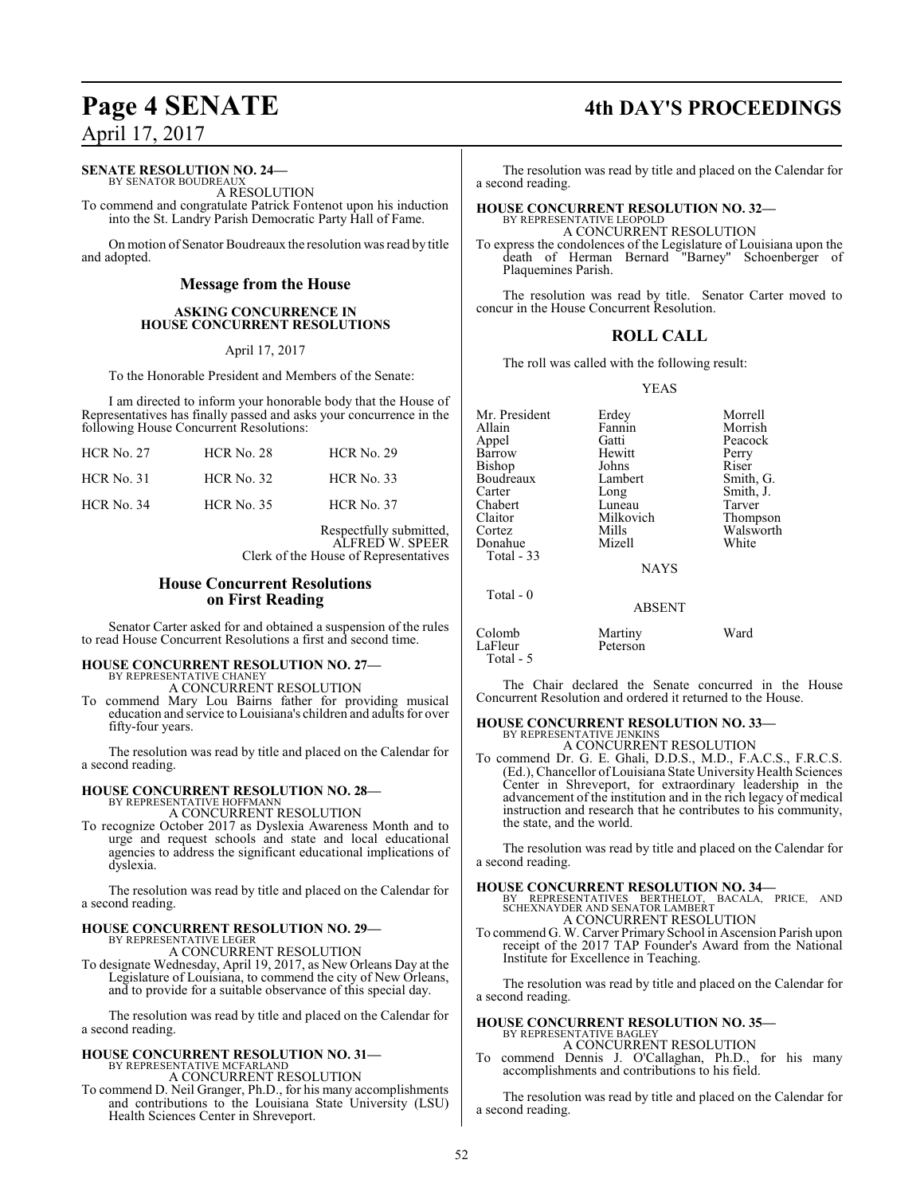#### **SENATE RESOLUTION NO. 24—**

BY SENATOR BOUDREAU. A RESOLUTION

To commend and congratulate Patrick Fontenot upon his induction into the St. Landry Parish Democratic Party Hall of Fame.

On motion of Senator Boudreaux the resolution was read by title and adopted.

#### **Message from the House**

#### **ASKING CONCURRENCE IN HOUSE CONCURRENT RESOLUTIONS**

April 17, 2017

To the Honorable President and Members of the Senate:

I am directed to inform your honorable body that the House of Representatives has finally passed and asks your concurrence in the following House Concurrent Resolutions:

| <b>HCR No. 27</b> | HCR No. 28        | <b>HCR</b> No. 29 |
|-------------------|-------------------|-------------------|
| $HCR$ No. 31      | HCR No. 32        | HCR No. 33        |
| <b>HCR No. 34</b> | <b>HCR No. 35</b> | <b>HCR No. 37</b> |

Respectfully submitted, ALFRED W. SPEER Clerk of the House of Representatives

#### **House Concurrent Resolutions on First Reading**

Senator Carter asked for and obtained a suspension of the rules to read House Concurrent Resolutions a first and second time.

#### **HOUSE CONCURRENT RESOLUTION NO. 27—** BY REPRESENTATIVE CHANEY

A CONCURRENT RESOLUTION

To commend Mary Lou Bairns father for providing musical education and service to Louisiana's children and adults for over fifty-four years.

The resolution was read by title and placed on the Calendar for a second reading.

# **HOUSE CONCURRENT RESOLUTION NO. 28—** BY REPRESENTATIVE HOFFMANN

A CONCURRENT RESOLUTION

To recognize October 2017 as Dyslexia Awareness Month and to urge and request schools and state and local educational agencies to address the significant educational implications of dyslexia.

The resolution was read by title and placed on the Calendar for a second reading.

# **HOUSE CONCURRENT RESOLUTION NO. 29—** BY REPRESENTATIVE LEGER

A CONCURRENT RESOLUTION

To designate Wednesday, April 19, 2017, as New Orleans Day at the Legislature of Louisiana, to commend the city of New Orleans, and to provide for a suitable observance of this special day.

The resolution was read by title and placed on the Calendar for a second reading.

#### **HOUSE CONCURRENT RESOLUTION NO. 31—** BY REPRESENTATIVE MCFARLAND

A CONCURRENT RESOLUTION

To commend D. Neil Granger, Ph.D., for his many accomplishments and contributions to the Louisiana State University (LSU) Health Sciences Center in Shreveport.

# **Page 4 SENATE 4th DAY'S PROCEEDINGS**

The resolution was read by title and placed on the Calendar for a second reading.

# **HOUSE CONCURRENT RESOLUTION NO. 32—** BY REPRESENTATIVE LEOPOLD

A CONCURRENT RESOLUTION

To express the condolences of the Legislature of Louisiana upon the death of Herman Bernard "Barney" Schoenberger of Plaquemines Parish.

The resolution was read by title. Senator Carter moved to concur in the House Concurrent Resolution.

### **ROLL CALL**

The roll was called with the following result:

YEAS

| Mr. President<br>Allain<br>Appel<br>Barrow<br><b>Bishop</b><br>Boudreaux<br>Carter | Erdey<br>Fannin<br>Gatti<br>Hewitt<br>Johns<br>Lambert<br>Long | Morrell<br>Morrish<br>Peacock<br>Perry<br>Riser<br>Smith, G.<br>Smith, J. |
|------------------------------------------------------------------------------------|----------------------------------------------------------------|---------------------------------------------------------------------------|
| Chabert                                                                            | Luneau                                                         | Tarver                                                                    |
| Claitor                                                                            | Milkovich                                                      | Thompson                                                                  |
| Cortez                                                                             | Mills                                                          | Walsworth                                                                 |
| Donahue<br>Total - 33                                                              | Mizell                                                         | White                                                                     |
|                                                                                    | <b>NAYS</b>                                                    |                                                                           |
| Total $-0$                                                                         |                                                                |                                                                           |
|                                                                                    | <b>ABSENT</b>                                                  |                                                                           |
| Colomb<br>LaFleur                                                                  | Martiny<br>Peterson                                            | Ward                                                                      |

Total - 5

The Chair declared the Senate concurred in the House Concurrent Resolution and ordered it returned to the House.

# **HOUSE CONCURRENT RESOLUTION NO. 33—** BY REPRESENTATIVE JENKINS

A CONCURRENT RESOLUTION

To commend Dr. G. E. Ghali, D.D.S., M.D., F.A.C.S., F.R.C.S. (Ed.), Chancellor of Louisiana State University Health Sciences Center in Shreveport, for extraordinary leadership in the advancement of the institution and in the rich legacy of medical instruction and research that he contributes to his community, the state, and the world.

The resolution was read by title and placed on the Calendar for a second reading.

**HOUSE CONCURRENT RESOLUTION NO. 34—** BY REPRESENTATIVES BERTHELOT, BACALA, PRICE, AND SCHEXNAYDER AND SENATOR LAMBERT A CONCURRENT RESOLUTION

To commend G. W. Carver Primary School in Ascension Parish upon receipt of the 2017 TAP Founder's Award from the National Institute for Excellence in Teaching.

The resolution was read by title and placed on the Calendar for a second reading.

#### **HOUSE CONCURRENT RESOLUTION NO. 35—** BY REPRESENTATIVE BAGLEY

A CONCURRENT RESOLUTION

To commend Dennis J. O'Callaghan, Ph.D., for his many accomplishments and contributions to his field.

The resolution was read by title and placed on the Calendar for a second reading.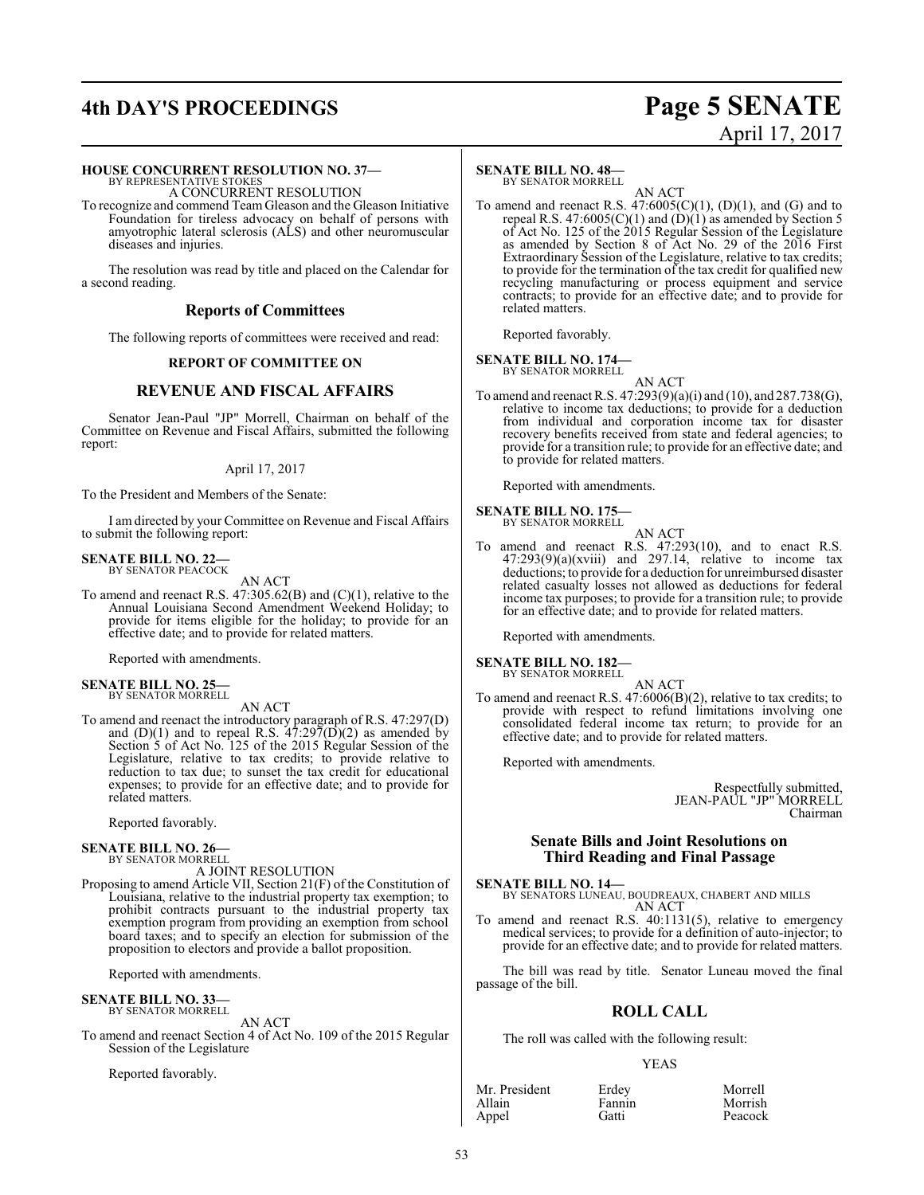# **4th DAY'S PROCEEDINGS Page 5 SENATE**

# April 17, 2017

#### **HOUSE CONCURRENT RESOLUTION NO. 37—**

BY REPRESENTATIVE STOKES A CONCURRENT RESOLUTION

To recognize and commend Team Gleason and the Gleason Initiative Foundation for tireless advocacy on behalf of persons with amyotrophic lateral sclerosis (ALS) and other neuromuscular diseases and injuries.

The resolution was read by title and placed on the Calendar for a second reading.

#### **Reports of Committees**

The following reports of committees were received and read:

#### **REPORT OF COMMITTEE ON**

#### **REVENUE AND FISCAL AFFAIRS**

Senator Jean-Paul "JP" Morrell, Chairman on behalf of the Committee on Revenue and Fiscal Affairs, submitted the following report:

#### April 17, 2017

To the President and Members of the Senate:

I am directed by your Committee on Revenue and Fiscal Affairs to submit the following report:

# **SENATE BILL NO. 22—**<br>BY SENATOR PEACOCK

AN ACT

To amend and reenact R.S. 47:305.62(B) and (C)(1), relative to the Annual Louisiana Second Amendment Weekend Holiday; to provide for items eligible for the holiday; to provide for an effective date; and to provide for related matters.

Reported with amendments.

#### **SENATE BILL NO. 25—** BY SENATOR MORRELL

AN ACT

To amend and reenact the introductory paragraph of R.S. 47:297(D) and  $(D)(1)$  and to repeal R.S.  $47:297(D)(2)$  as amended by Section 5 of Act No. 125 of the 2015 Regular Session of the Legislature, relative to tax credits; to provide relative to reduction to tax due; to sunset the tax credit for educational expenses; to provide for an effective date; and to provide for related matters.

Reported favorably.

#### **SENATE BILL NO. 26—** BY SENATOR MORRELL

A JOINT RESOLUTION

Proposing to amend Article VII, Section 21(F) of the Constitution of Louisiana, relative to the industrial property tax exemption; to prohibit contracts pursuant to the industrial property tax exemption program from providing an exemption from school board taxes; and to specify an election for submission of the proposition to electors and provide a ballot proposition.

Reported with amendments.

#### **SENATE BILL NO. 33—**

BY SENATOR MORRELL

AN ACT To amend and reenact Section 4 of Act No. 109 of the 2015 Regular Session of the Legislature

Reported favorably.

#### **SENATE BILL NO. 48—**

BY SENATOR MORRELL

AN ACT To amend and reenact R.S.  $47:6005(C)(1)$ ,  $(D)(1)$ , and  $(G)$  and to repeal R.S. 47:6005(C)(1) and  $(D)(1)$  as amended by Section 5 of Act No. 125 of the 2015 Regular Session of the Legislature as amended by Section 8 of Act No. 29 of the 2016 First Extraordinary Session of the Legislature, relative to tax credits; to provide for the termination of the tax credit for qualified new recycling manufacturing or process equipment and service contracts; to provide for an effective date; and to provide for related matters.

Reported favorably.

# **SENATE BILL NO. 174—** BY SENATOR MORRELL

AN ACT

To amend and reenact R.S. 47:293(9)(a)(i) and (10), and 287.738(G), relative to income tax deductions; to provide for a deduction from individual and corporation income tax for disaster recovery benefits received from state and federal agencies; to provide for a transition rule; to provide for an effective date; and to provide for related matters.

Reported with amendments.

## **SENATE BILL NO. 175—** BY SENATOR MORRELL

- 
- AN ACT To amend and reenact R.S. 47:293(10), and to enact R.S.  $47:293(9)(a)(xviii)$  and  $297.14$ , relative to income tax deductions; to provide for a deduction for unreimbursed disaster related casualty losses not allowed as deductions for federal income tax purposes; to provide for a transition rule; to provide for an effective date; and to provide for related matters.

Reported with amendments.

## **SENATE BILL NO. 182—** BY SENATOR MORRELL

AN ACT

To amend and reenact R.S. 47:6006(B)(2), relative to tax credits; to provide with respect to refund limitations involving one consolidated federal income tax return; to provide for an effective date; and to provide for related matters.

Reported with amendments.

Respectfully submitted, JEAN-PAUL "JP" MORRELL Chairman

#### **Senate Bills and Joint Resolutions on Third Reading and Final Passage**

**SENATE BILL NO. 14—** BY SENATORS LUNEAU, BOUDREAUX, CHABERT AND MILLS AN ACT

To amend and reenact R.S. 40:1131(5), relative to emergency medical services; to provide for a definition of auto-injector; to provide for an effective date; and to provide for related matters.

The bill was read by title. Senator Luneau moved the final passage of the bill.

#### **ROLL CALL**

The roll was called with the following result:

#### YEAS

| Mr. President | Erdey  | Morrell |
|---------------|--------|---------|
| Allain        | Fannin | Morrish |
| Appel         | Gatti  | Peacock |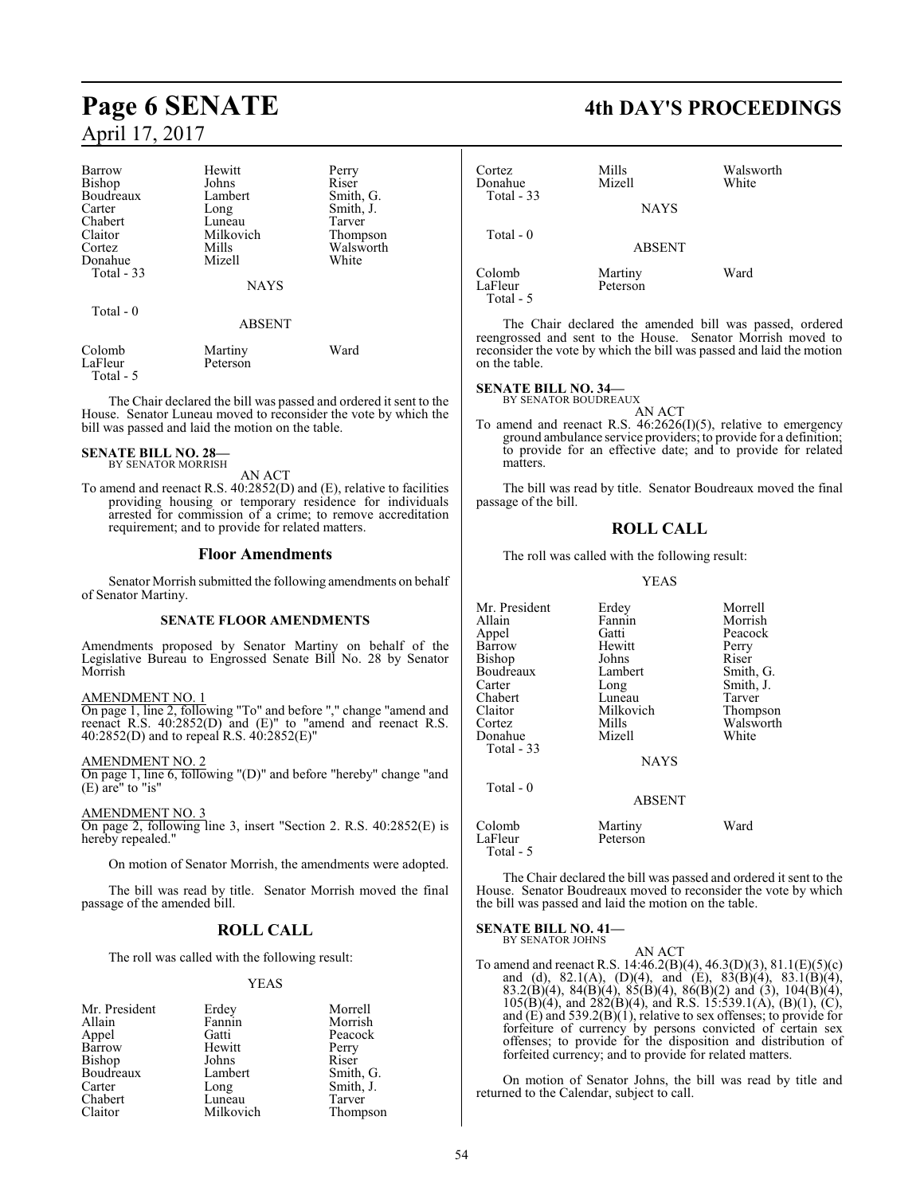| <b>Barrow</b>     | Hewitt              | Perry     |
|-------------------|---------------------|-----------|
| Bishop            | Johns               | Riser     |
| Boudreaux         | Lambert             | Smith, G. |
| Carter            | Long                | Smith, J. |
| Chabert           | Luneau              | Tarver    |
| Claitor           | Milkovich           | Thompson  |
| Cortez            | Mills               | Walsworth |
| Donahue           | Mizell              | White     |
| Total - 33        |                     |           |
|                   | <b>NAYS</b>         |           |
| Total - 0         |                     |           |
|                   | <b>ABSENT</b>       |           |
| Colomb<br>LaFleur | Martiny<br>Peterson | Ward      |

LaFleur Total - 5

The Chair declared the bill was passed and ordered it sent to the House. Senator Luneau moved to reconsider the vote by which the bill was passed and laid the motion on the table.

#### **SENATE BILL NO. 28—** BY SENATOR MORRISH

AN ACT

To amend and reenact R.S. 40:2852(D) and (E), relative to facilities providing housing or temporary residence for individuals arrested for commission of a crime; to remove accreditation requirement; and to provide for related matters.

#### **Floor Amendments**

Senator Morrish submitted the following amendments on behalf of Senator Martiny.

#### **SENATE FLOOR AMENDMENTS**

Amendments proposed by Senator Martiny on behalf of the Legislative Bureau to Engrossed Senate Bill No. 28 by Senator Morrish

AMENDMENT NO. 1

On page 1, line 2, following "To" and before "," change "amend and reenact R.S. 40:2852(D) and (E)" to "amend and reenact R.S. 40:2852(D) and to repeal R.S. 40:2852(E)"

#### AMENDMENT NO. 2

On page 1, line 6, following "(D)" and before "hereby" change "and (E) are" to "is"

AMENDMENT NO. 3

On page 2, following line 3, insert "Section 2. R.S. 40:2852(E) is hereby repealed."

On motion of Senator Morrish, the amendments were adopted.

The bill was read by title. Senator Morrish moved the final passage of the amended bill.

#### **ROLL CALL**

The roll was called with the following result:

#### YEAS

| Mr. President | Erdey     | Morrell   |
|---------------|-----------|-----------|
| Allain        | Fannin    | Morrish   |
| Appel         | Gatti     | Peacock   |
| Barrow        | Hewitt    | Perry     |
| Bishop        | Johns     | Riser     |
| Boudreaux     | Lambert   | Smith, G. |
| Carter        | Long      | Smith, J. |
| Chabert       | Luneau    | Tarver    |
| Claitor       | Milkovich | Thompson  |

# **Page 6 SENATE 4th DAY'S PROCEEDINGS**

| Cortez<br>Donahue              | Mills<br>Mizell     | Walsworth<br>White |
|--------------------------------|---------------------|--------------------|
| Total - 33                     | <b>NAYS</b>         |                    |
| Total $-0$                     | <b>ABSENT</b>       |                    |
| Colomb<br>LaFleur<br>Total - 5 | Martiny<br>Peterson | Ward               |

The Chair declared the amended bill was passed, ordered reengrossed and sent to the House. Senator Morrish moved to reconsider the vote by which the bill was passed and laid the motion on the table.

## **SENATE BILL NO. 34—** BY SENATOR BOUDREAUX

AN ACT To amend and reenact R.S. 46:2626(I)(5), relative to emergency ground ambulance service providers; to provide for a definition; to provide for an effective date; and to provide for related matters.

The bill was read by title. Senator Boudreaux moved the final passage of the bill.

#### **ROLL CALL**

The roll was called with the following result:

#### YEAS

| Mr. President<br>Allain | Erdey<br>Fannin | Morrell<br>Morrish |
|-------------------------|-----------------|--------------------|
| Appel                   | Gatti           | Peacock            |
| Barrow                  | Hewitt          | Perry              |
| Bishop                  | Johns           | Riser              |
| Boudreaux               | Lambert         | Smith, G.          |
| Carter                  | Long            | Smith, J.          |
| Chabert                 | Luneau          | Tarver             |
| Claitor                 | Milkovich       | Thompson           |
| Cortez                  | Mills           | Walsworth          |
| Donahue                 | Mizell          | White              |
| Total - 33              |                 |                    |
|                         | <b>NAYS</b>     |                    |
| Total - 0               |                 |                    |
|                         | <b>ABSENT</b>   |                    |
| Colomb                  | Martiny         | Ward               |
| LaFleur                 | Peterson        |                    |

The Chair declared the bill was passed and ordered it sent to the House. Senator Boudreaux moved to reconsider the vote by which the bill was passed and laid the motion on the table.

**SENATE BILL NO. 41–**<br>BY SENATOR JOHNS

Total - 5

AN ACT

To amend and reenact R.S. 14:46.2(B)(4), 46.3(D)(3), 81.1(E)(5)(c) and (d), 82.1(A), (D)(4), and (E), 83(B)(4), 83.1(B)(4), 83.2(B)(4), 84(B)(4), 85(B)(4), 86(B)(2) and (3), 104(B)(4),  $105(B)(4)$ , and  $282(B)(4)$ , and R.S. 15:539.1(A), (B)(1), (C), and (E) and 539.2(B)(1), relative to sex offenses; to provide for forfeiture of currency by persons convicted of certain sex offenses; to provide for the disposition and distribution of forfeited currency; and to provide for related matters.

On motion of Senator Johns, the bill was read by title and returned to the Calendar, subject to call.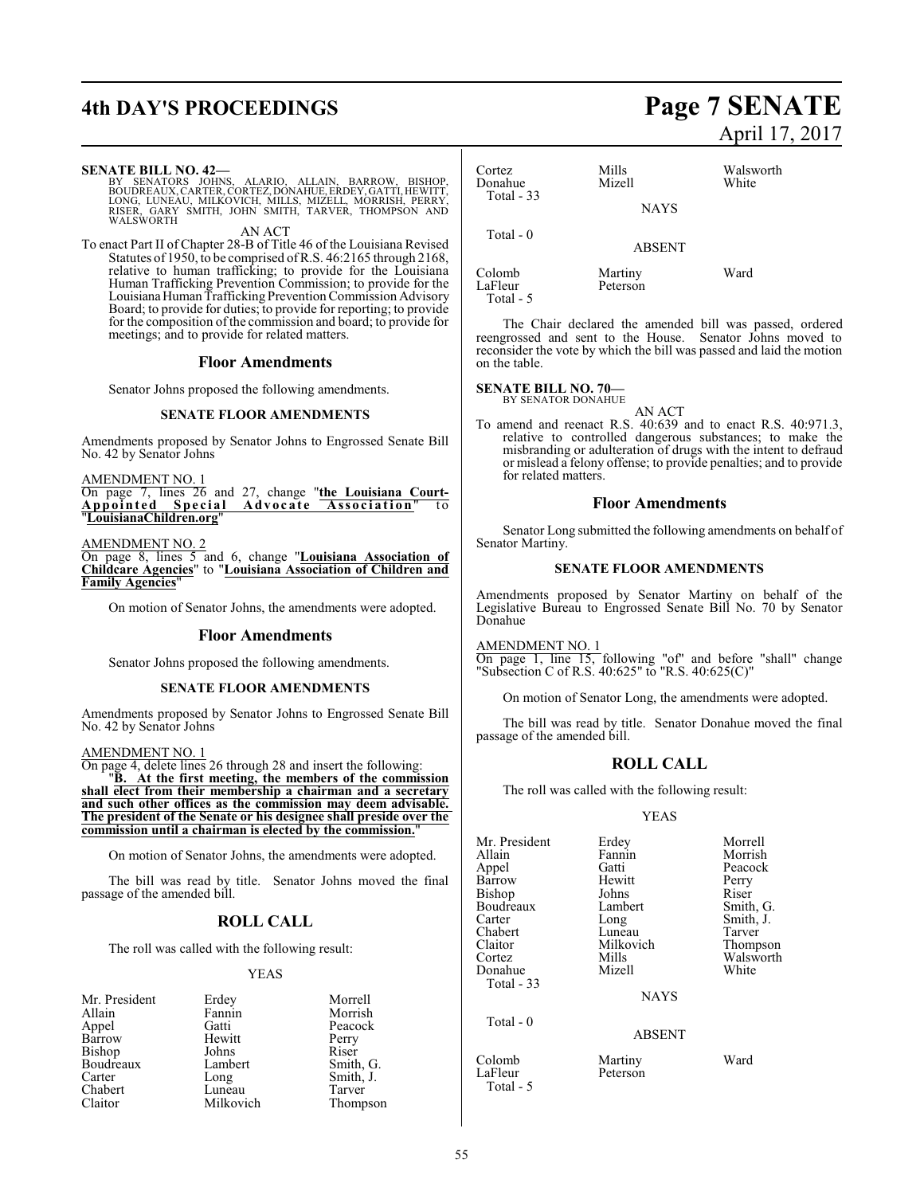# **4th DAY'S PROCEEDINGS Page 7 SENATE**

#### **SENATE BILL NO. 42—**

BY SENATORS JOHNS, ALARIO, ALLAIN, BARROW, BISHOP,<br>BOUDREAUX,CARTER,CORTEZ,DONAHUE,ERDEY,GATTI,HEWITT,<br>LONG,LUNEAU,MILKOVICH,MILLS,MIZELL,MORRISH,PERRY,<br>KISER,GARY SMITH,JOHN SMITH,TARVER,THOMPSON AND LONG, LUNEAU,<br>RISER, GARY S<br>WALSWORTH

AN ACT

To enact Part II of Chapter 28-B of Title 46 of the Louisiana Revised Statutes of 1950, to be comprised ofR.S. 46:2165 through 2168, relative to human trafficking; to provide for the Louisiana Human Trafficking Prevention Commission; to provide for the Louisiana Human Trafficking Prevention Commission Advisory Board; to provide for duties; to provide for reporting; to provide for the composition of the commission and board; to provide for meetings; and to provide for related matters.

#### **Floor Amendments**

Senator Johns proposed the following amendments.

#### **SENATE FLOOR AMENDMENTS**

Amendments proposed by Senator Johns to Engrossed Senate Bill No. 42 by Senator Johns

AMENDMENT NO. 1

On page 7, lines 26 and 27, change "**the Louisiana Court-Appo int ed Spe c i a l Adv o c a t e Ass o c i a ti on**" t o "**LouisianaChildren.org**"

AMENDMENT NO. 2

On page 8, lines 5 and 6, change "**Louisiana Association of Childcare Agencies**" to "**Louisiana Association of Children and Family Agencies**"

On motion of Senator Johns, the amendments were adopted.

#### **Floor Amendments**

Senator Johns proposed the following amendments.

#### **SENATE FLOOR AMENDMENTS**

Amendments proposed by Senator Johns to Engrossed Senate Bill No. 42 by Senator Johns

#### AMENDMENT NO. 1

On page 4, delete lines 26 through 28 and insert the following: "**B. At the first meeting, the members of the commission**

**shall elect from their membership a chairman and a secretary and such other offices as the commission may deem advisable. The president of the Senate or his designee shall preside over the commission until a chairman is elected by the commission.**"

On motion of Senator Johns, the amendments were adopted.

The bill was read by title. Senator Johns moved the final passage of the amended bill.

### **ROLL CALL**

The roll was called with the following result:

#### YEAS

| Mr. President | Erdey     | Morrell   |
|---------------|-----------|-----------|
| Allain        | Fannin    | Morrish   |
| Appel         | Gatti     | Peacock   |
| Barrow        | Hewitt    | Perry     |
| Bishop        | Johns     | Riser     |
| Boudreaux     | Lambert   | Smith, G. |
| Carter        | Long      | Smith, J. |
| Chabert       | Luneau    | Tarver    |
| Claitor       | Milkovich | Thompson  |

# April 17, 2017

| Cortez<br>Donahue | Mills<br>Mizell     | Walsworth<br>White |  |
|-------------------|---------------------|--------------------|--|
| Total $-33$       | <b>NAYS</b>         |                    |  |
| Total $-0$        | <b>ABSENT</b>       |                    |  |
| Colomb<br>LaFleur | Martiny<br>Peterson | Ward               |  |

The Chair declared the amended bill was passed, ordered reengrossed and sent to the House. Senator Johns moved to reconsider the vote by which the bill was passed and laid the motion on the table.

#### **SENATE BILL NO. 70—**

Total - 5

BY SENATOR DONAHUE

AN ACT To amend and reenact R.S. 40:639 and to enact R.S. 40:971.3, relative to controlled dangerous substances; to make the misbranding or adulteration of drugs with the intent to defraud or mislead a felony offense; to provide penalties; and to provide for related matters.

#### **Floor Amendments**

Senator Long submitted the following amendments on behalf of Senator Martiny.

#### **SENATE FLOOR AMENDMENTS**

Amendments proposed by Senator Martiny on behalf of the Legislative Bureau to Engrossed Senate Bill No. 70 by Senator Donahue

AMENDMENT NO. 1

On page 1, line 15, following "of" and before "shall" change "Subsection C of R.S. 40:625" to "R.S. 40:625(C)"

On motion of Senator Long, the amendments were adopted.

The bill was read by title. Senator Donahue moved the final passage of the amended bill.

#### **ROLL CALL**

The roll was called with the following result:

#### YEAS

| Mr. President | Erdey         | Morrell   |
|---------------|---------------|-----------|
| Allain        | Fannin        | Morrish   |
| Appel         | Gatti         | Peacock   |
| Barrow        | Hewitt        | Perry     |
| Bishop        | Johns         | Riser     |
| Boudreaux     | Lambert       | Smith, G. |
| Carter        | Long          | Smith, J. |
| Chabert       | Luneau        | Tarver    |
| Claitor       | Milkovich     | Thompson  |
| Cortez        | Mills         | Walsworth |
| Donahue       | Mizell        | White     |
| Total - 33    |               |           |
|               | <b>NAYS</b>   |           |
| Total - 0     |               |           |
|               | <b>ABSENT</b> |           |
| Colomb        | Martiny       | Ward      |

LaFleur Peterson

Total - 5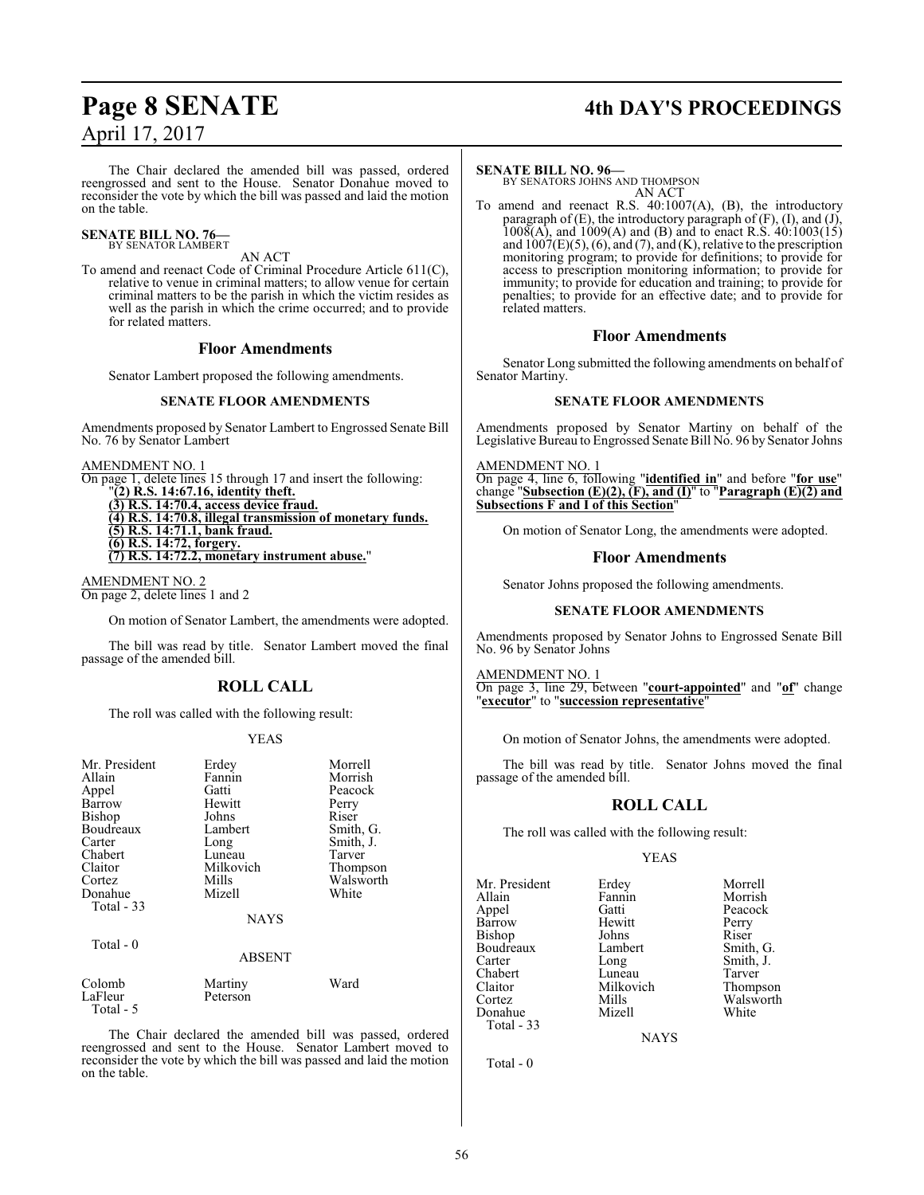# **Page 8 SENATE 4th DAY'S PROCEEDINGS**

The Chair declared the amended bill was passed, ordered reengrossed and sent to the House. Senator Donahue moved to reconsider the vote by which the bill was passed and laid the motion on the table.

#### **SENATE BILL NO. 76—** BY SENATOR LAMBERT

#### AN ACT

To amend and reenact Code of Criminal Procedure Article 611(C), relative to venue in criminal matters; to allow venue for certain criminal matters to be the parish in which the victim resides as well as the parish in which the crime occurred; and to provide for related matters.

#### **Floor Amendments**

Senator Lambert proposed the following amendments.

#### **SENATE FLOOR AMENDMENTS**

Amendments proposed by Senator Lambert to Engrossed Senate Bill No. 76 by Senator Lambert

AMENDMENT NO. 1

On page 1, delete lines 15 through 17 and insert the following: "**(2) R.S. 14:67.16, identity theft. (3) R.S. 14:70.4, access device fraud. (4) R.S. 14:70.8, illegal transmission of monetary funds.**

**(5) R.S. 14:71.1, bank fraud.**

**(6) R.S. 14:72, forgery. (7) R.S. 14:72.2, monetary instrument abuse.**"

AMENDMENT NO. 2 On page 2, delete lines 1 and 2

Total - 5

On motion of Senator Lambert, the amendments were adopted.

The bill was read by title. Senator Lambert moved the final passage of the amended bill.

### **ROLL CALL**

The roll was called with the following result:

#### YEAS

| Mr. President<br>Allain<br>Appel<br>Barrow<br>Bishop<br>Boudreaux<br>Carter<br>Chabert<br>Claitor | Erdey<br>Fannin<br>Gatti<br>Hewitt<br>Johns<br>Lambert<br>Long<br>Luneau<br>Milkovich | Morrell<br>Morrish<br>Peacock<br>Perry<br>Riser<br>Smith, G.<br>Smith, J.<br>Tarver<br>Thompson |
|---------------------------------------------------------------------------------------------------|---------------------------------------------------------------------------------------|-------------------------------------------------------------------------------------------------|
| Cortez<br>Donahue<br>Total $-33$<br>Total $-0$                                                    | Mills<br>Mizell<br><b>NAYS</b><br><b>ABSENT</b>                                       | Walsworth<br>White                                                                              |
| Colomb<br>LaFleur                                                                                 | Martiny<br>Peterson                                                                   | Ward                                                                                            |

The Chair declared the amended bill was passed, ordered reengrossed and sent to the House. Senator Lambert moved to reconsider the vote by which the bill was passed and laid the motion on the table.

#### **SENATE BILL NO. 96—**

BY SENATORS JOHNS AND THOMPSON AN ACT

To amend and reenact R.S. 40:1007(A), (B), the introductory paragraph of (E), the introductory paragraph of (F), (I), and (J),  $1008(A)$ , and  $1009(A)$  and (B) and to enact R.S.  $40:1003(15)$ and  $1007(E)(5)$ , (6), and (7), and (K), relative to the prescription monitoring program; to provide for definitions; to provide for access to prescription monitoring information; to provide for immunity; to provide for education and training; to provide for penalties; to provide for an effective date; and to provide for related matters.

#### **Floor Amendments**

Senator Long submitted the following amendments on behalf of Senator Martiny.

#### **SENATE FLOOR AMENDMENTS**

Amendments proposed by Senator Martiny on behalf of the Legislative Bureau to Engrossed Senate Bill No. 96 by Senator Johns

AMENDMENT NO. 1 On page 4, line 6, following "**identified in**" and before "**for use**" change "**Subsection (E)(2), (F), and (I)**" to "**Paragraph (E)(2) and Subsections F and I of this Section**"

On motion of Senator Long, the amendments were adopted.

#### **Floor Amendments**

Senator Johns proposed the following amendments.

#### **SENATE FLOOR AMENDMENTS**

Amendments proposed by Senator Johns to Engrossed Senate Bill No. 96 by Senator Johns

AMENDMENT NO. 1

On page 3, line 29, between "**court-appointed**" and "**of**" change "**executor**" to "**succession representative**"

On motion of Senator Johns, the amendments were adopted.

The bill was read by title. Senator Johns moved the final passage of the amended bill.

#### **ROLL CALL**

The roll was called with the following result:

#### YEAS

Mr. President Erdey Morrell<br>Allain Fannin Morrish Allain Fannin Morrish<br>
Appel Gatti Peacock Barrow Hewitt Perry<br>Bishop Johns Riser Bishop Johns Riser<br>Boudreaux Lambert Smith, G. Boudreaux Lamb<br>Carter Long Carter Long Smith, J.<br>Chabert Luneau Tarver Chabert Luneau Tarver<br>
Claitor Milkovich Thompson Claitor Milkovich<br>Cortez Mills Donahue Total - 33

Gatti Peacock<br>
Hewitt Perry

Mills Walsworth<br>
Mizell White

**NAYS** 

Total - 0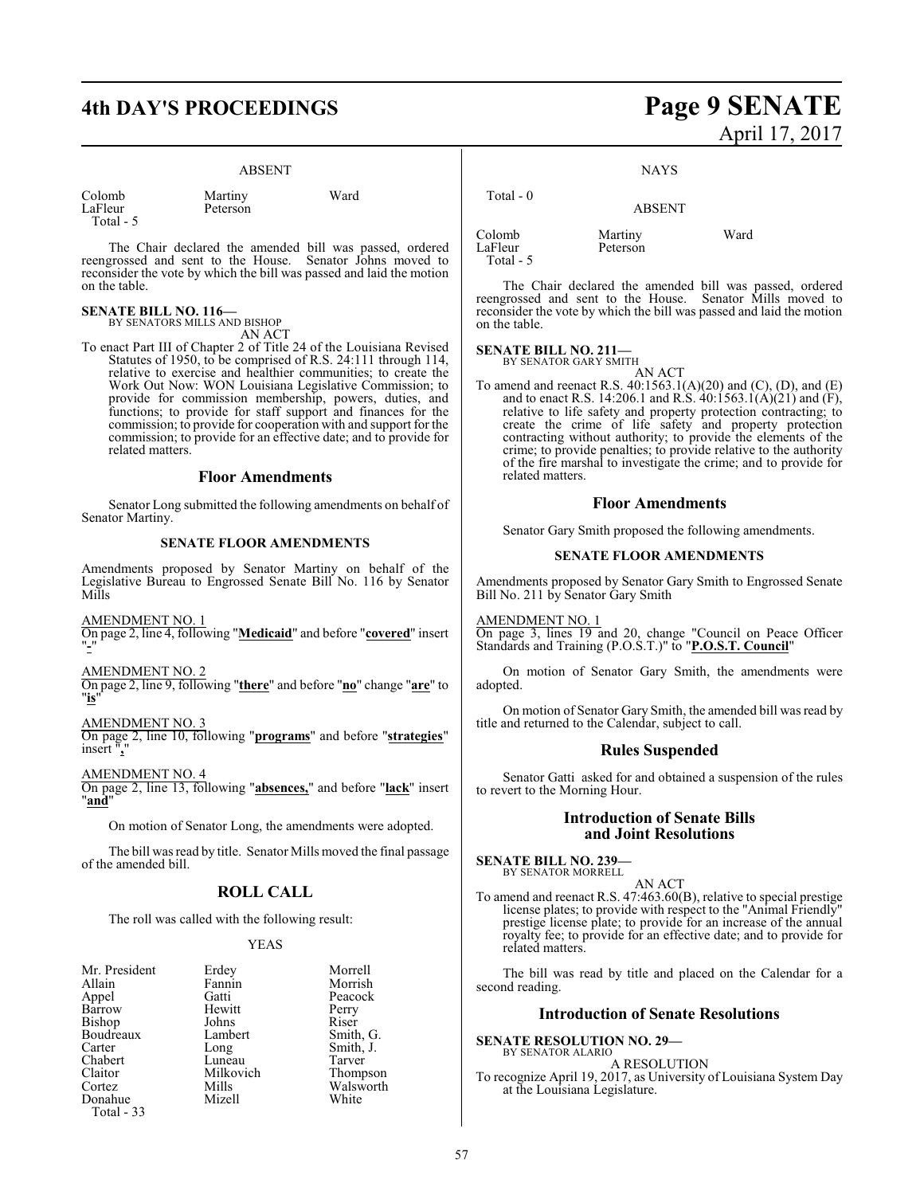#### ABSENT

Martiny Ward

| Colomb    |  |
|-----------|--|
| LaFleur   |  |
| Total - 5 |  |

Peterson

The Chair declared the amended bill was passed, ordered reengrossed and sent to the House. Senator Johns moved to reconsider the vote by which the bill was passed and laid the motion on the table.

# **SENATE BILL NO. 116—** BY SENATORS MILLS AND BISHOP

AN ACT

To enact Part III of Chapter 2 of Title 24 of the Louisiana Revised Statutes of 1950, to be comprised of R.S. 24:111 through 114, relative to exercise and healthier communities; to create the Work Out Now: WON Louisiana Legislative Commission; to provide for commission membership, powers, duties, and functions; to provide for staff support and finances for the commission; to provide for cooperation with and support for the commission; to provide for an effective date; and to provide for related matters.

#### **Floor Amendments**

Senator Long submitted the following amendments on behalf of Senator Martiny.

#### **SENATE FLOOR AMENDMENTS**

Amendments proposed by Senator Martiny on behalf of the Legislative Bureau to Engrossed Senate Bill No. 116 by Senator Mills

AMENDMENT NO. 1

On page 2, line 4, following "**Medicaid**" and before "**covered**" insert "**-**"

#### AMENDMENT NO. 2

On page 2, line 9, following "**there**" and before "**no**" change "**are**" to "**is**"

#### AMENDMENT NO. 3

On page 2, line 10, following "**programs**" and before "**strategies**" insert "**,**"

AMENDMENT NO. 4

On page 2, line 13, following "**absences,**" and before "**lack**" insert "**and**"

On motion of Senator Long, the amendments were adopted.

The bill was read by title. Senator Mills moved the final passage of the amended bill.

### **ROLL CALL**

The roll was called with the following result:

#### YEAS

| Mr. President | Erdey     | Morr         |
|---------------|-----------|--------------|
| Allain        | Fannin    | Morr         |
| Appel         | Gatti     | Peaco        |
| <b>Barrow</b> | Hewitt    | Perry        |
| Bishop        | Johns     | Riser        |
| Boudreaux     | Lambert   | Smitl        |
| Carter        | Long      | Smith        |
| Chabert       | Luneau    | <b>Tarve</b> |
| Claitor       | Milkovich | Thon         |
| Cortez        | Mills     | Wals         |
| Donahue       | Mizell    | Whit         |
| Total - 33    |           |              |
|               |           |              |

Erdey Morrell<br>Fannin Morrish Fannin Morrish<br>Gatti Peacock Gatti Peacock<br>
Hewitt Perry Hewitt Perry<br>Johns Riser Lambert Smith, G. Long Smith, J.<br>Luneau Tarver Luneau Tarver<br>
Milkovich Thompson Walsworth<br>White

# **4th DAY'S PROCEEDINGS Page 9 SENATE** April 17, 2017

NAYS

#### Total - 0 ABSENT Colomb Martiny Ward Peterson Total - 5

The Chair declared the amended bill was passed, ordered reengrossed and sent to the House. Senator Mills moved to reconsider the vote by which the bill was passed and laid the motion on the table.

#### **SENATE BILL NO. 211—**

BY SENATOR GARY SMITH AN ACT

To amend and reenact R.S. 40:1563.1(A)(20) and (C), (D), and (E) and to enact R.S. 14:206.1 and R.S. 40:1563.1(A)(21) and (F), relative to life safety and property protection contracting; to create the crime of life safety and property protection contracting without authority; to provide the elements of the crime; to provide penalties; to provide relative to the authority of the fire marshal to investigate the crime; and to provide for related matters.

#### **Floor Amendments**

Senator Gary Smith proposed the following amendments.

#### **SENATE FLOOR AMENDMENTS**

Amendments proposed by Senator Gary Smith to Engrossed Senate Bill No. 211 by Senator Gary Smith

AMENDMENT NO. 1 On page 3, lines 19 and 20, change "Council on Peace Officer Standards and Training (P.O.S.T.)" to "**P.O.S.T. Council**"

On motion of Senator Gary Smith, the amendments were adopted.

On motion of Senator Gary Smith, the amended bill was read by title and returned to the Calendar, subject to call.

#### **Rules Suspended**

Senator Gatti asked for and obtained a suspension of the rules to revert to the Morning Hour.

#### **Introduction of Senate Bills and Joint Resolutions**

**SENATE BILL NO. 239—** BY SENATOR MORRELL

AN ACT

To amend and reenact R.S. 47:463.60(B), relative to special prestige license plates; to provide with respect to the "Animal Friendly" prestige license plate; to provide for an increase of the annual royalty fee; to provide for an effective date; and to provide for related matters.

The bill was read by title and placed on the Calendar for a second reading.

#### **Introduction of Senate Resolutions**

**SENATE RESOLUTION NO. 29—** BY SENATOR ALARIO

A RESOLUTION To recognize April 19, 2017, as University of Louisiana System Day at the Louisiana Legislature.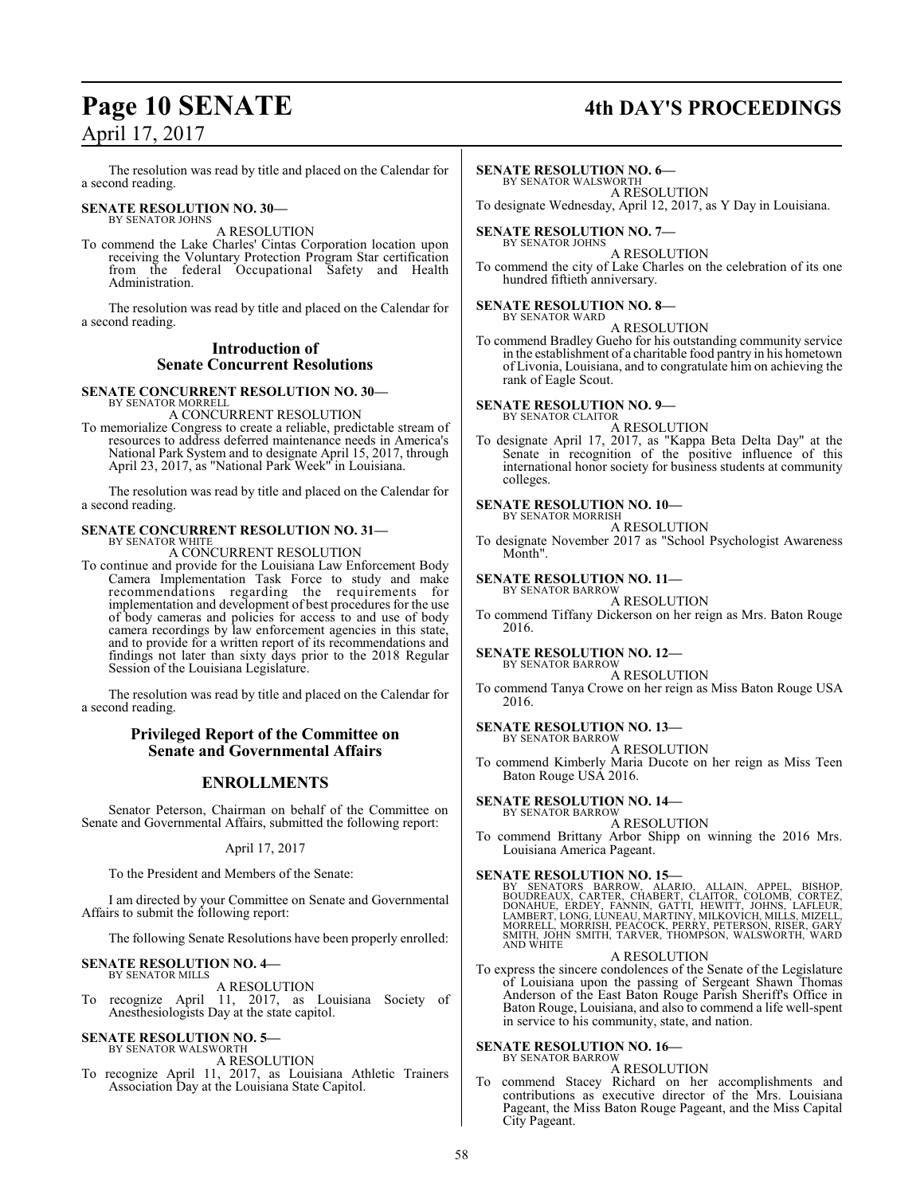# **Page 10 SENATE 4th DAY'S PROCEEDINGS**

The resolution was read by title and placed on the Calendar for a second reading.

#### **SENATE RESOLUTION NO. 30—** BY SENATOR JOHNS

A RESOLUTION

To commend the Lake Charles' Cintas Corporation location upon receiving the Voluntary Protection Program Star certification from the federal Occupational Safety and Health Administration.

The resolution was read by title and placed on the Calendar for a second reading.

### **Introduction of Senate Concurrent Resolutions**

#### **SENATE CONCURRENT RESOLUTION NO. 30—** BY SENATOR MORREL

A CONCURRENT RESOLUTION

To memorialize Congress to create a reliable, predictable stream of resources to address deferred maintenance needs in America's National Park System and to designate April 15, 2017, through April 23, 2017, as "National Park Week" in Louisiana.

The resolution was read by title and placed on the Calendar for a second reading.

#### **SENATE CONCURRENT RESOLUTION NO. 31—** BY SENATOR WHITE

A CONCURRENT RESOLUTION

To continue and provide for the Louisiana Law Enforcement Body Camera Implementation Task Force to study and make recommendations regarding the requirements for implementation and development of best procedures for the use of body cameras and policies for access to and use of body camera recordings by law enforcement agencies in this state, and to provide for a written report of its recommendations and findings not later than sixty days prior to the 2018 Regular Session of the Louisiana Legislature.

The resolution was read by title and placed on the Calendar for a second reading.

#### **Privileged Report of the Committee on Senate and Governmental Affairs**

#### **ENROLLMENTS**

Senator Peterson, Chairman on behalf of the Committee on Senate and Governmental Affairs, submitted the following report:

#### April 17, 2017

To the President and Members of the Senate:

I am directed by your Committee on Senate and Governmental Affairs to submit the following report:

The following Senate Resolutions have been properly enrolled:

#### **SENATE RESOLUTION NO. 4—** BY SENATOR MILLS

A RESOLUTION

To recognize April 11, 2017, as Louisiana Society of Anesthesiologists Day at the state capitol.

#### **SENATE RESOLUTION NO. 5—** BY SENATOR WALSWORTH

A RESOLUTION

To recognize April 11, 2017, as Louisiana Athletic Trainers Association Day at the Louisiana State Capitol.

#### **SENATE RESOLUTION NO. 6—**

BY SENATOR WALSWORTH A RESOLUTION

To designate Wednesday, April 12, 2017, as Y Day in Louisiana.

**SENATE RESOLUTION NO. 7—** BY SENATOR JOHNS

#### A RESOLUTION

To commend the city of Lake Charles on the celebration of its one hundred fiftieth anniversary.

#### **SENATE RESOLUTION NO. 8—**

BY SENATOR WARD A RESOLUTION

To commend Bradley Gueho for his outstanding community service in the establishment of a charitable food pantry in his hometown of Livonia, Louisiana, and to congratulate him on achieving the rank of Eagle Scout.

#### **SENATE RESOLUTION NO. 9—** BY SENATOR CLAITOR

A RESOLUTION

To designate April 17, 2017, as "Kappa Beta Delta Day" at the Senate in recognition of the positive influence of this international honor society for business students at community colleges.

#### **SENATE RESOLUTION NO. 10—**

BY SENATOR MORRISH A RESOLUTION

To designate November 2017 as "School Psychologist Awareness Month".

#### **SENATE RESOLUTION NO. 11—** BY SENATOR BARROW

A RESOLUTION

To commend Tiffany Dickerson on her reign as Mrs. Baton Rouge 2016.

#### **SENATE RESOLUTION NO. 12—** BY SENATOR BARROW

A RESOLUTION

To commend Tanya Crowe on her reign as Miss Baton Rouge USA 2016.

#### **SENATE RESOLUTION NO. 13—** BY SENATOR BARROW

#### A RESOLUTION

To commend Kimberly Maria Ducote on her reign as Miss Teen Baton Rouge USA 2016.

#### **SENATE RESOLUTION NO. 14—** BY SENATOR BARROW

A RESOLUTION

To commend Brittany Arbor Shipp on winning the 2016 Mrs. Louisiana America Pageant.

#### **SENATE RESOLUTION NO. 15—**

BY SENATORS BARROW, ALARIO, ALLAIN, APPEL, BISHOP,<br>BOUDREAUX, CARTER, CHABERT, CLAITOR, COLOMB, CORTEZ,<br>DONAHUE, ERDEY, FANNIN, GATTI, HEWITT, JOHNS, LAFLEUR,<br>LAMBERT,LONG,LUNEAU,MARTINY,MILKOVICH,MILLS,MIZELL,<br>MORRELL,MOR

#### A RESOLUTION

To express the sincere condolences of the Senate of the Legislature of Louisiana upon the passing of Sergeant Shawn Thomas Anderson of the East Baton Rouge Parish Sheriff's Office in Baton Rouge, Louisiana, and also to commend a life well-spent in service to his community, state, and nation.

#### **SENATE RESOLUTION NO. 16—** BY SENATOR BARROW

A RESOLUTION To commend Stacey Richard on her accomplishments and contributions as executive director of the Mrs. Louisiana Pageant, the Miss Baton Rouge Pageant, and the Miss Capital City Pageant.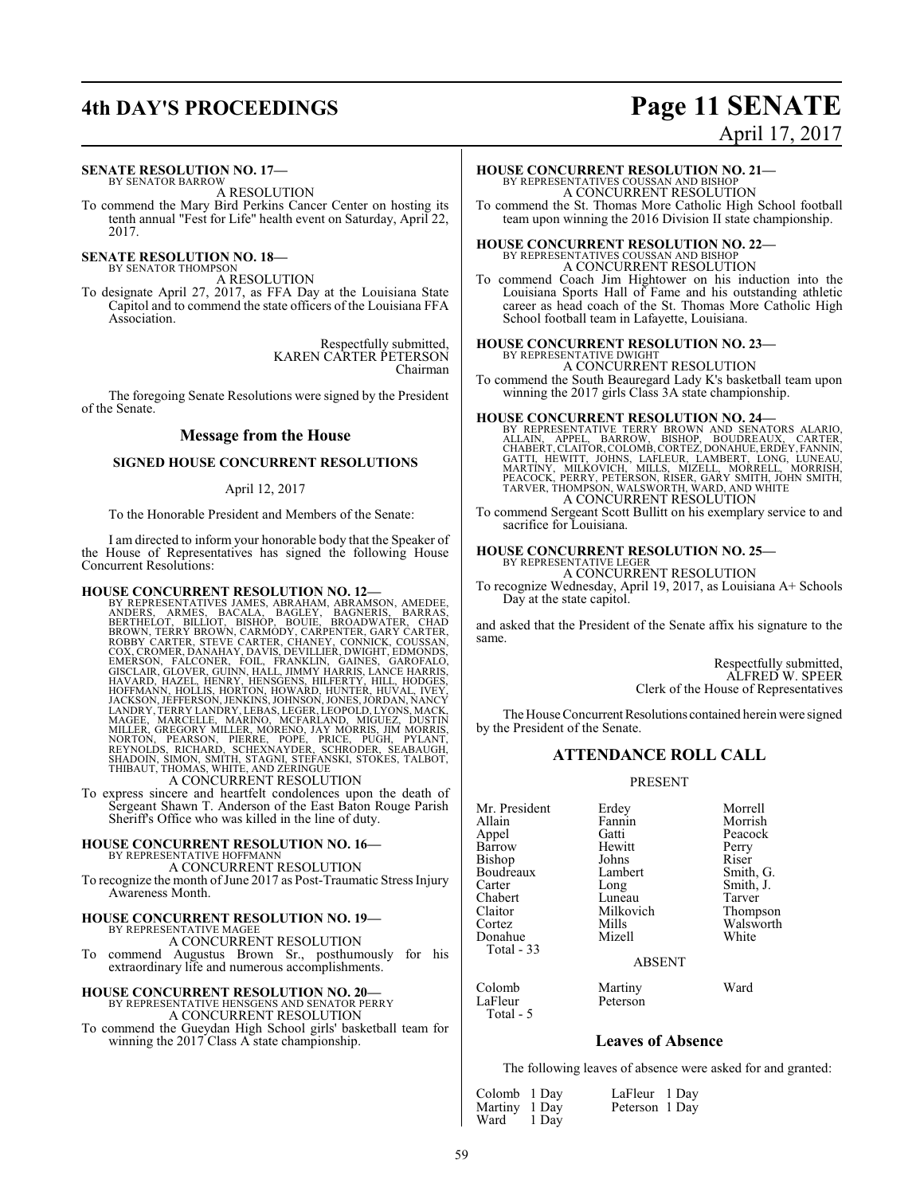## **4th DAY'S PROCEEDINGS Page 11 SENATE** April 17, 2017

#### **SENATE RESOLUTION NO. 17—** BY SENATOR BARROW

A RESOLUTION

To commend the Mary Bird Perkins Cancer Center on hosting its tenth annual "Fest for Life" health event on Saturday, April 22, 2017.

**SENATE RESOLUTION NO. 18—**<br>BY SENATOR THOMPSON

A RESOLUTION

To designate April 27, 2017, as FFA Day at the Louisiana State Capitol and to commend the state officers of the Louisiana FFA Association.

> Respectfully submitted, KAREN CARTER PETERSON Chairman

The foregoing Senate Resolutions were signed by the President of the Senate.

#### **Message from the House**

#### **SIGNED HOUSE CONCURRENT RESOLUTIONS**

#### April 12, 2017

To the Honorable President and Members of the Senate:

I am directed to inform your honorable body that the Speaker of the House of Representatives has signed the following House Concurrent Resolutions:

HOUSE CONCURRENT RESOLUTION NO. 12—<br>BY REPRESENTATIVES JAMES, ABRAHAM, ABRAMSON, AMEDEE,<br>HYREPESENTATIVES JAMES, ABRAHAM, ABRAMSON, AMEDEE,<br>BERTHELOT, BILLIOT, BISHOP, BOUIE, BROADWATER, CHAD<br>BROWN, TERRY BROWN, CARMODY, C

To express sincere and heartfelt condolences upon the death of Sergeant Shawn T. Anderson of the East Baton Rouge Parish Sheriff's Office who was killed in the line of duty.

#### **HOUSE CONCURRENT RESOLUTION NO. 16—**

BY REPRESENTATIVE HOFFMANN

A CONCURRENT RESOLUTION

To recognize the month ofJune 2017 as Post-Traumatic Stress Injury Awareness Month.

#### **HOUSE CONCURRENT RESOLUTION NO. 19—** BY REPRESENTATIVE MAGEE A CONCURRENT RESOLUTION

To commend Augustus Brown Sr., posthumously for his extraordinary life and numerous accomplishments.

# **HOUSE CONCURRENT RESOLUTION NO. 20—** BY REPRESENTATIVE HENSGENS AND SENATOR PERRY

A CONCURRENT RESOLUTION

To commend the Gueydan High School girls' basketball team for winning the 2017 Class A state championship.

#### **HOUSE CONCURRENT RESOLUTION NO. 21—**

BY REPRESENTATIVES COUSSAN AND BISHOP A CONCURRENT RESOLUTION

To commend the St. Thomas More Catholic High School football team upon winning the 2016 Division II state championship.

# **HOUSE CONCURRENT RESOLUTION NO. 22—** BY REPRESENTATIVES COUSSAN AND BISHOP

A CONCURRENT RESOLUTION

To commend Coach Jim Hightower on his induction into the Louisiana Sports Hall of Fame and his outstanding athletic career as head coach of the St. Thomas More Catholic High School football team in Lafayette, Louisiana.

# **HOUSE CONCURRENT RESOLUTION NO. 23—** BY REPRESENTATIVE DWIGHT

A CONCURRENT RESOLUTION To commend the South Beauregard Lady K's basketball team upon winning the 2017 girls Class 3A state championship.

#### **HOUSE CONCURRENT RESOLUTION NO. 24—**

BY REPRESENTATIVE TERRY BROWN AND SENATORS ALARIO, APPEL, BARROW, BISHOP, BOUDREAUX, CARTER, CLAITOR, CHABERT,CLAITOR, COLOMB, CORTEZ, DONAHUE, ERDEY, FANNIN, GATTI, HEWITT, JOHNS, LAFLEUR, LAMBERT, LONG, LUNEAU, MARTINY,

To commend Sergeant Scott Bullitt on his exemplary service to and sacrifice for Louisiana.

#### **HOUSE CONCURRENT RESOLUTION NO. 25—**

BY REPRESENTATIVE LEGER A CONCURRENT RESOLUTION

To recognize Wednesday, April 19, 2017, as Louisiana A+ Schools Day at the state capitol.

and asked that the President of the Senate affix his signature to the same.

> Respectfully submitted, ALFRED W. SPEER Clerk of the House of Representatives

The House Concurrent Resolutions contained herein were signed by the President of the Senate.

#### **ATTENDANCE ROLL CALL**

PRESENT

Mr. President Erdey Morrell<br>Allain Fannin Morrish Allain Fannin Morrish<br>
Appel Gatti Peacock Barrow Hewitt Perry<br>Bishop Johns Riser Bishop Johns Riser<br>Boudreaux Lambert Smith, G. Boudreaux Lamb<br>Carter Long Carter Long Smith, J.<br>
Chabert Luneau Tarver Chabert Luneau<br>Claitor Milkovich Claitor Milkovich Thompson Donahue Total - 33

LaFleur Total - 5 Gatti Peacock<br>
Hewitt Perry Mills Walsworth<br>
Mizell White

ABSENT

Colomb Martiny Ward

### **Leaves of Absence**

The following leaves of absence were asked for and granted:

| Colomb 1 Day  |       |
|---------------|-------|
| Martiny 1 Day |       |
| Ward          | 1 Day |

LaFleur 1 Day Peterson 1 Day